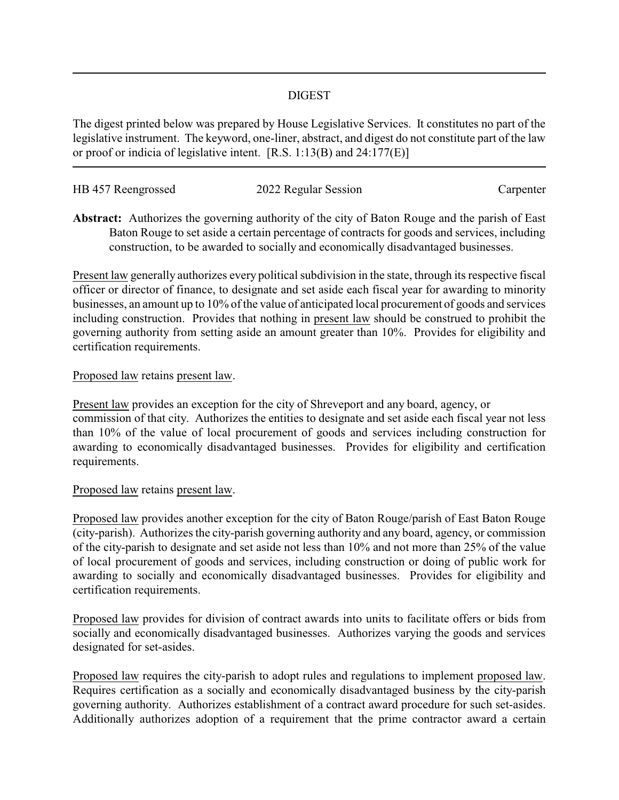## DIGEST

The digest printed below was prepared by House Legislative Services. It constitutes no part of the legislative instrument. The keyword, one-liner, abstract, and digest do not constitute part of the law or proof or indicia of legislative intent. [R.S. 1:13(B) and 24:177(E)]

| HB 457 Reengrossed | 2022 Regular Session | Carpenter |
|--------------------|----------------------|-----------|
|                    |                      |           |

**Abstract:** Authorizes the governing authority of the city of Baton Rouge and the parish of East Baton Rouge to set aside a certain percentage of contracts for goods and services, including construction, to be awarded to socially and economically disadvantaged businesses.

Present law generally authorizes every political subdivision in the state, through its respective fiscal officer or director of finance, to designate and set aside each fiscal year for awarding to minority businesses, an amount up to 10% of the value of anticipated local procurement of goods and services including construction. Provides that nothing in present law should be construed to prohibit the governing authority from setting aside an amount greater than 10%. Provides for eligibility and certification requirements.

## Proposed law retains present law.

Present law provides an exception for the city of Shreveport and any board, agency, or commission of that city. Authorizes the entities to designate and set aside each fiscal year not less than 10% of the value of local procurement of goods and services including construction for awarding to economically disadvantaged businesses. Provides for eligibility and certification requirements.

## Proposed law retains present law.

Proposed law provides another exception for the city of Baton Rouge/parish of East Baton Rouge (city-parish). Authorizes the city-parish governing authority and any board, agency, or commission of the city-parish to designate and set aside not less than 10% and not more than 25% of the value of local procurement of goods and services, including construction or doing of public work for awarding to socially and economically disadvantaged businesses. Provides for eligibility and certification requirements.

Proposed law provides for division of contract awards into units to facilitate offers or bids from socially and economically disadvantaged businesses. Authorizes varying the goods and services designated for set-asides.

Proposed law requires the city-parish to adopt rules and regulations to implement proposed law. Requires certification as a socially and economically disadvantaged business by the city-parish governing authority. Authorizes establishment of a contract award procedure for such set-asides. Additionally authorizes adoption of a requirement that the prime contractor award a certain